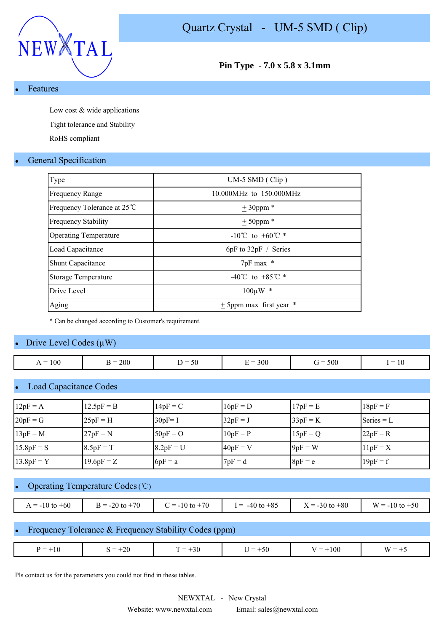

**Pin Type - 7.0 x 5.8 x 3.1mm**

#### **Features**

Low cost & wide applications

Tight tolerance and Stability

RoHS compliant

### **General Specification**

| Type                         | $UM-5$ SMD (Clip)                    |
|------------------------------|--------------------------------------|
| <b>Frequency Range</b>       | 10.000MHz to 150.000MHz              |
| Frequency Tolerance at 25 ℃  | $± 30$ ppm *                         |
| <b>Frequency Stability</b>   | $+50$ ppm $*$                        |
| <b>Operating Temperature</b> | $-10^{\circ}$ C to $+60^{\circ}$ C * |
| Load Capacitance             | $6pF$ to $32pF /$ Series             |
| <b>Shunt Capacitance</b>     | 7pF max *                            |
| Storage Temperature          | -40°C to +85°C $*$                   |
| Drive Level                  | $100 \mu W$ *                        |
| Aging                        | $\pm$ 5ppm max first year $*$        |

\* Can be changed according to Customer's requirement.

#### Drive Level Codes  $(\mu W)$

| 100<br>$=$<br>. . | <b>200</b> | $\sim$ .<br>.<br>.<br>υc | 300<br>$\overline{\phantom{a}}$ | 500<br>$\overline{\phantom{a}}$ | $\mathbf{1} \mathbf{0}$<br>$\overline{\phantom{a}}$ |
|-------------------|------------|--------------------------|---------------------------------|---------------------------------|-----------------------------------------------------|
|                   |            |                          |                                 |                                 |                                                     |

### **Load Capacitance Codes**

| $12pF = A$   | $12.5pF = B$ | $14pF = C$  | $16pF = D$ | $17pF = E$ | $18pF = F$   |
|--------------|--------------|-------------|------------|------------|--------------|
| $20pF = G$   | $25pF = H$   | $30pF = I$  | $32pF = J$ | $33pF = K$ | $Series = L$ |
| $13pF = M$   | $27pF = N$   | $50pF = O$  | $10pF = P$ | $15pF = Q$ | $22pF = R$   |
| $15.8pF = S$ | $8.5pF = T$  | $8.2pF = U$ | $40pF = V$ | $9pF = W$  | $11pF = X$   |
| $13.8pF = Y$ | $19.6pF = Z$ | $6pF = a$   | $7pF = d$  | $8pF = e$  | $19pF = f$   |

#### Operating Temperature Codes (℃)

| $-60$<br>$\gamma = -10$ to $\tau_{v}$ . | $-20$ to $+70$<br>$R = 0$ | $+70$<br>$= -10$ to | $-40$ to $+85$<br>$=$ | $X = -30$ to $+80$ | $W = -10$<br>$+50$<br>⊤to - |
|-----------------------------------------|---------------------------|---------------------|-----------------------|--------------------|-----------------------------|

## Frequency Tolerance & Frequency Stability Codes (ppm)

| ∽<br>-17<br>$\overline{\phantom{0}}$<br>u<br>$-$<br>-1 U<br>$-$ | <b>01</b><br>$\overline{\phantom{0}}$<br>$\overline{\phantom{a}}$ | _<br>$-$ | 51<br>-<br><b>Contract Contract Contract</b> | 100<br>$=$<br>., | $\cdots$<br>$-$<br>— |
|-----------------------------------------------------------------|-------------------------------------------------------------------|----------|----------------------------------------------|------------------|----------------------|
|                                                                 |                                                                   |          |                                              |                  |                      |

Pls contact us for the parameters you could not find in these tables.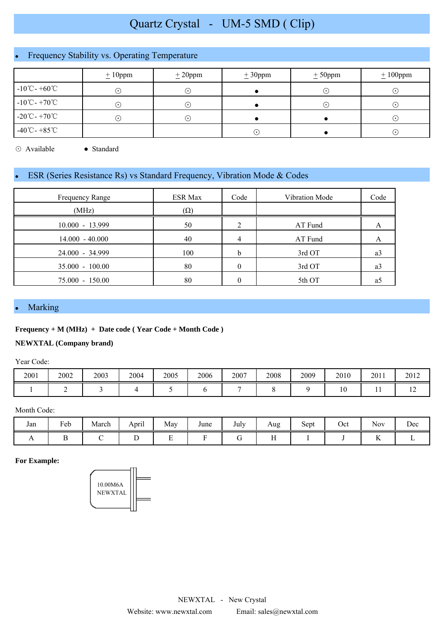# Frequency Stability vs. Operating Temperature

|                                             | $\pm 10$ ppm | $\pm 20$ ppm               | $\pm 30$ ppm | $\pm$ 50ppm | $\pm 100$ ppm |  |
|---------------------------------------------|--------------|----------------------------|--------------|-------------|---------------|--|
| $-10^{\circ}$ C - $+60^{\circ}$ C           | ⊙            | ∩                          |              | $\cdot$     | $(\cdot)$     |  |
| $-10^{\circ}$ C - $+70^{\circ}$ C           | $\bigodot$   | $(\,\boldsymbol{\cdot}\,)$ |              |             | $(\cdot)$     |  |
| $-20^{\circ}\text{C} - +70^{\circ}\text{C}$ | ∩            | $(\boldsymbol{\cdot})$     |              |             | $(\cdot)$     |  |
| $-40^{\circ}$ C - $+85^{\circ}$ C           |              |                            | $(\bullet)$  |             | $(\cdot)$     |  |

⊙ Available ● Standard

## ESR (Series Resistance Rs) vs Standard Frequency, Vibration Mode & Codes

| Frequency Range   | <b>ESR Max</b> | Code | Vibration Mode | Code |
|-------------------|----------------|------|----------------|------|
| (MHz)             | $(\Omega)$     |      |                |      |
| $10.000 - 13.999$ | 50             |      | AT Fund        | A    |
| $14.000 - 40.000$ | 40             |      | AT Fund        | А    |
| $24.000 - 34.999$ | 100            | b    | 3rd OT         | a3   |
| $35.000 - 100.00$ | 80             |      | 3rd OT         | a3   |
| $75.000 - 150.00$ | 80             |      | 5th OT         | a    |

#### Marking

#### **Frequency + M (MHz) + Date code ( Year Code + Month Code )**

#### **NEWXTAL (Company brand)**

Year Code:

| 2001 | 2002 | 2003 | 2004 | 2005 | 2006 | 2007 | 2008 | 2009 | 2010 | 2011 | 2012 |
|------|------|------|------|------|------|------|------|------|------|------|------|
|      |      |      |      |      |      |      |      |      | 10   | . .  | ∸    |

#### Month Code:

| Jan | $\mathbf{r}$ 1<br>reb | . .<br>March | $\cdot$ .<br>April | May<br>$\sim$ | June | July | Aug      | $\sim$<br>Sept | Oct | - -<br><b>Nov</b> | Dec |
|-----|-----------------------|--------------|--------------------|---------------|------|------|----------|----------------|-----|-------------------|-----|
|     |                       |              |                    | ∸             |      |      | $ -$<br> |                |     | ∸                 |     |

**For Example:**

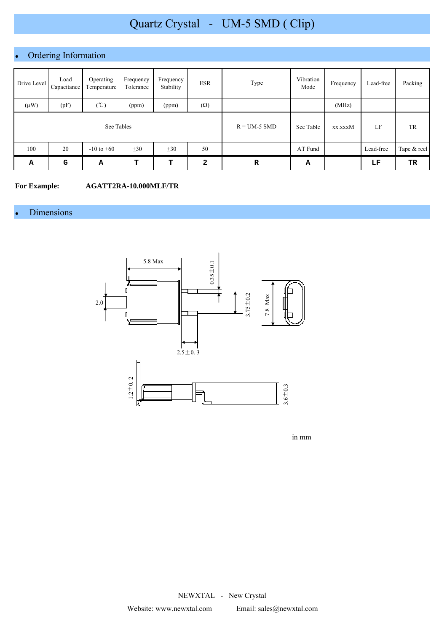# Ordering Information

| Drive Level | Load<br>Capacitance | Operating<br>Temperature | Frequency<br>Tolerance | Frequency<br>Stability | <b>ESR</b>     | Type      | Vibration<br>Mode | Frequency | Lead-free | Packing     |
|-------------|---------------------|--------------------------|------------------------|------------------------|----------------|-----------|-------------------|-----------|-----------|-------------|
| $(\mu W)$   | (pF)                | $({\rm ^{\circ}C})$      | (ppm)                  | (ppm)                  | $(\Omega)$     |           |                   | (MHz)     |           |             |
| See Tables  |                     |                          |                        |                        | $R = UM-5$ SMD | See Table | xx.xxxM           | LF        | TR        |             |
| 100         | 20                  | $-10$ to $+60$           | $\pm 30$               | $\pm 30$               | 50             |           | AT Fund           |           | Lead-free | Tape & reel |
| Α           | G                   | Α                        | т                      | т                      | $\mathbf{2}$   | R         | А                 |           | LF        | TR          |

**For Example: AGATT2RA-10.000MLF/TR**

## • Dimensions



in mm